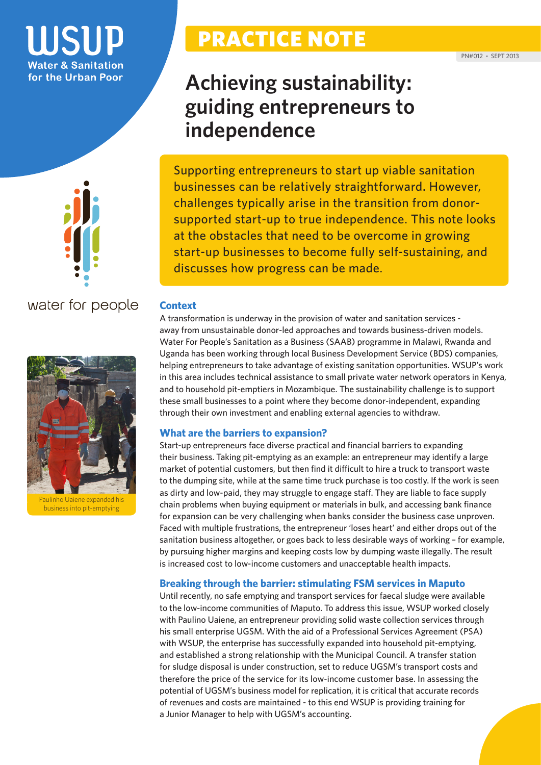### **TISUD Water & Sanitation** for the Urban Poor



water for people



Paulinho Uaiene expanded his business into pit-emptying

## PRACTICE NOTE

## **Achieving sustainability: guiding entrepreneurs to independence**

Supporting entrepreneurs to start up viable sanitation businesses can be relatively straightforward. However, challenges typically arise in the transition from donorsupported start-up to true independence. This note looks at the obstacles that need to be overcome in growing start-up businesses to become fully self-sustaining, and discusses how progress can be made.

### **Context**

A transformation is underway in the provision of water and sanitation services away from unsustainable donor-led approaches and towards business-driven models. Water For People's Sanitation as a Business (SAAB) programme in Malawi, Rwanda and Uganda has been working through local Business Development Service (BDS) companies, helping entrepreneurs to take advantage of existing sanitation opportunities. WSUP's work in this area includes technical assistance to small private water network operators in Kenya, and to household pit-emptiers in Mozambique. The sustainability challenge is to support these small businesses to a point where they become donor-independent, expanding through their own investment and enabling external agencies to withdraw.

#### **What are the barriers to expansion?**

Start-up entrepreneurs face diverse practical and financial barriers to expanding their business. Taking pit-emptying as an example: an entrepreneur may identify a large market of potential customers, but then find it difficult to hire a truck to transport waste to the dumping site, while at the same time truck purchase is too costly. If the work is seen as dirty and low-paid, they may struggle to engage staff. They are liable to face supply chain problems when buying equipment or materials in bulk, and accessing bank finance for expansion can be very challenging when banks consider the business case unproven. Faced with multiple frustrations, the entrepreneur 'loses heart' and either drops out of the sanitation business altogether, or goes back to less desirable ways of working – for example, by pursuing higher margins and keeping costs low by dumping waste illegally. The result is increased cost to low-income customers and unacceptable health impacts.

### **Breaking through the barrier: stimulating FSM services in Maputo**

Until recently, no safe emptying and transport services for faecal sludge were available to the low-income communities of Maputo. To address this issue, WSUP worked closely with Paulino Uaiene, an entrepreneur providing solid waste collection services through his small enterprise UGSM. With the aid of a Professional Services Agreement (PSA) with WSUP, the enterprise has successfully expanded into household pit-emptying, and established a strong relationship with the Municipal Council. A transfer station for sludge disposal is under construction, set to reduce UGSM's transport costs and therefore the price of the service for its low-income customer base. In assessing the potential of UGSM's business model for replication, it is critical that accurate records of revenues and costs are maintained - to this end WSUP is providing training for a Junior Manager to help with UGSM's accounting.